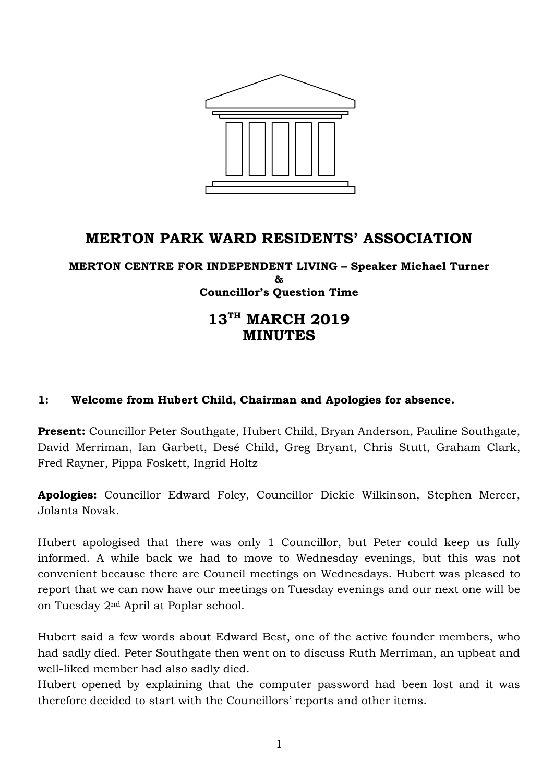

# **MERTON PARK WARD RESIDENTS' ASSOCIATION**

**MERTON CENTRE FOR INDEPENDENT LIVING – Speaker Michael Turner & Councillor's Question Time**

# **13TH MARCH 2019 MINUTES**

#### **1: Welcome from Hubert Child, Chairman and Apologies for absence.**

**Present:** Councillor Peter Southgate, Hubert Child, Bryan Anderson, Pauline Southgate, David Merriman, Ian Garbett, Desé Child, Greg Bryant, Chris Stutt, Graham Clark, Fred Rayner, Pippa Foskett, Ingrid Holtz

**Apologies:** Councillor Edward Foley, Councillor Dickie Wilkinson, Stephen Mercer, Jolanta Novak.

Hubert apologised that there was only 1 Councillor, but Peter could keep us fully informed. A while back we had to move to Wednesday evenings, but this was not convenient because there are Council meetings on Wednesdays. Hubert was pleased to report that we can now have our meetings on Tuesday evenings and our next one will be on Tuesday 2nd April at Poplar school.

Hubert said a few words about Edward Best, one of the active founder members, who had sadly died. Peter Southgate then went on to discuss Ruth Merriman, an upbeat and well-liked member had also sadly died.

Hubert opened by explaining that the computer password had been lost and it was therefore decided to start with the Councillors' reports and other items.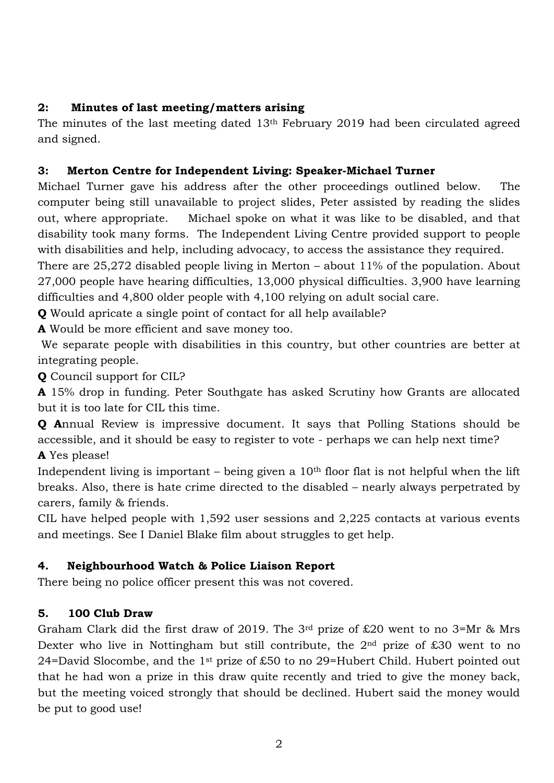### **2: Minutes of last meeting/matters arising**

The minutes of the last meeting dated 13th February 2019 had been circulated agreed and signed.

### **3: Merton Centre for Independent Living: Speaker-Michael Turner**

Michael Turner gave his address after the other proceedings outlined below. The computer being still unavailable to project slides, Peter assisted by reading the slides out, where appropriate. Michael spoke on what it was like to be disabled, and that disability took many forms. The Independent Living Centre provided support to people with disabilities and help, including advocacy, to access the assistance they required.

There are 25,272 disabled people living in Merton – about 11% of the population. About 27,000 people have hearing difficulties, 13,000 physical difficulties. 3,900 have learning difficulties and 4,800 older people with 4,100 relying on adult social care.

**Q** Would apricate a single point of contact for all help available?

**A** Would be more efficient and save money too.

We separate people with disabilities in this country, but other countries are better at integrating people.

**Q** Council support for CIL?

**A** 15% drop in funding. Peter Southgate has asked Scrutiny how Grants are allocated but it is too late for CIL this time.

**Q A**nnual Review is impressive document. It says that Polling Stations should be accessible, and it should be easy to register to vote - perhaps we can help next time? **A** Yes please!

Independent living is important – being given a  $10<sup>th</sup>$  floor flat is not helpful when the lift breaks. Also, there is hate crime directed to the disabled – nearly always perpetrated by carers, family & friends.

CIL have helped people with 1,592 user sessions and 2,225 contacts at various events and meetings. See I Daniel Blake film about struggles to get help.

# **4. Neighbourhood Watch & Police Liaison Report**

There being no police officer present this was not covered.

# **5. 100 Club Draw**

Graham Clark did the first draw of 2019. The 3rd prize of £20 went to no 3=Mr & Mrs Dexter who live in Nottingham but still contribute, the 2nd prize of £30 went to no 24=David Slocombe, and the 1st prize of £50 to no 29=Hubert Child. Hubert pointed out that he had won a prize in this draw quite recently and tried to give the money back, but the meeting voiced strongly that should be declined. Hubert said the money would be put to good use!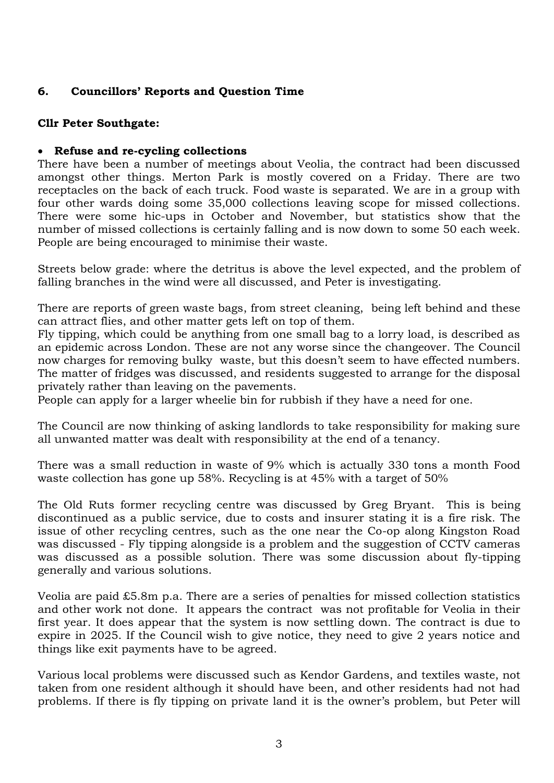# **6. Councillors' Reports and Question Time**

#### **Cllr Peter Southgate:**

#### **Refuse and re-cycling collections**

There have been a number of meetings about Veolia, the contract had been discussed amongst other things. Merton Park is mostly covered on a Friday. There are two receptacles on the back of each truck. Food waste is separated. We are in a group with four other wards doing some 35,000 collections leaving scope for missed collections. There were some hic-ups in October and November, but statistics show that the number of missed collections is certainly falling and is now down to some 50 each week. People are being encouraged to minimise their waste.

Streets below grade: where the detritus is above the level expected, and the problem of falling branches in the wind were all discussed, and Peter is investigating.

There are reports of green waste bags, from street cleaning, being left behind and these can attract flies, and other matter gets left on top of them.

Fly tipping, which could be anything from one small bag to a lorry load, is described as an epidemic across London. These are not any worse since the changeover. The Council now charges for removing bulky waste, but this doesn't seem to have effected numbers. The matter of fridges was discussed, and residents suggested to arrange for the disposal privately rather than leaving on the pavements.

People can apply for a larger wheelie bin for rubbish if they have a need for one.

The Council are now thinking of asking landlords to take responsibility for making sure all unwanted matter was dealt with responsibility at the end of a tenancy.

There was a small reduction in waste of 9% which is actually 330 tons a month Food waste collection has gone up 58%. Recycling is at 45% with a target of 50%

The Old Ruts former recycling centre was discussed by Greg Bryant. This is being discontinued as a public service, due to costs and insurer stating it is a fire risk. The issue of other recycling centres, such as the one near the Co-op along Kingston Road was discussed - Fly tipping alongside is a problem and the suggestion of CCTV cameras was discussed as a possible solution. There was some discussion about fly-tipping generally and various solutions.

Veolia are paid £5.8m p.a. There are a series of penalties for missed collection statistics and other work not done. It appears the contract was not profitable for Veolia in their first year. It does appear that the system is now settling down. The contract is due to expire in 2025. If the Council wish to give notice, they need to give 2 years notice and things like exit payments have to be agreed.

Various local problems were discussed such as Kendor Gardens, and textiles waste, not taken from one resident although it should have been, and other residents had not had problems. If there is fly tipping on private land it is the owner's problem, but Peter will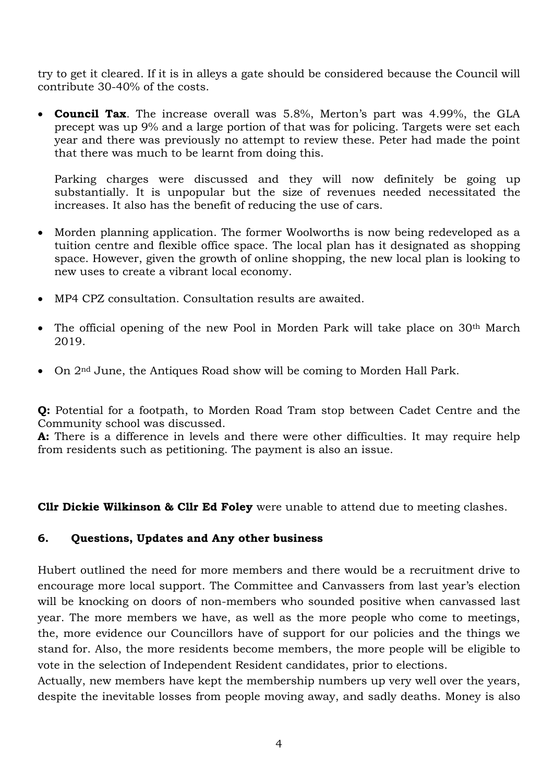try to get it cleared. If it is in alleys a gate should be considered because the Council will contribute 30-40% of the costs.

 **Council Tax**. The increase overall was 5.8%, Merton's part was 4.99%, the GLA precept was up 9% and a large portion of that was for policing. Targets were set each year and there was previously no attempt to review these. Peter had made the point that there was much to be learnt from doing this.

Parking charges were discussed and they will now definitely be going up substantially. It is unpopular but the size of revenues needed necessitated the increases. It also has the benefit of reducing the use of cars.

- Morden planning application. The former Woolworths is now being redeveloped as a tuition centre and flexible office space. The local plan has it designated as shopping space. However, given the growth of online shopping, the new local plan is looking to new uses to create a vibrant local economy.
- MP4 CPZ consultation. Consultation results are awaited.
- The official opening of the new Pool in Morden Park will take place on 30<sup>th</sup> March 2019.
- On 2<sup>nd</sup> June, the Antiques Road show will be coming to Morden Hall Park.

**Q:** Potential for a footpath, to Morden Road Tram stop between Cadet Centre and the Community school was discussed.

**A:** There is a difference in levels and there were other difficulties. It may require help from residents such as petitioning. The payment is also an issue.

**Cllr Dickie Wilkinson & Cllr Ed Foley** were unable to attend due to meeting clashes.

#### **6. Questions, Updates and Any other business**

Hubert outlined the need for more members and there would be a recruitment drive to encourage more local support. The Committee and Canvassers from last year's election will be knocking on doors of non-members who sounded positive when canvassed last year. The more members we have, as well as the more people who come to meetings, the, more evidence our Councillors have of support for our policies and the things we stand for. Also, the more residents become members, the more people will be eligible to vote in the selection of Independent Resident candidates, prior to elections.

Actually, new members have kept the membership numbers up very well over the years, despite the inevitable losses from people moving away, and sadly deaths. Money is also